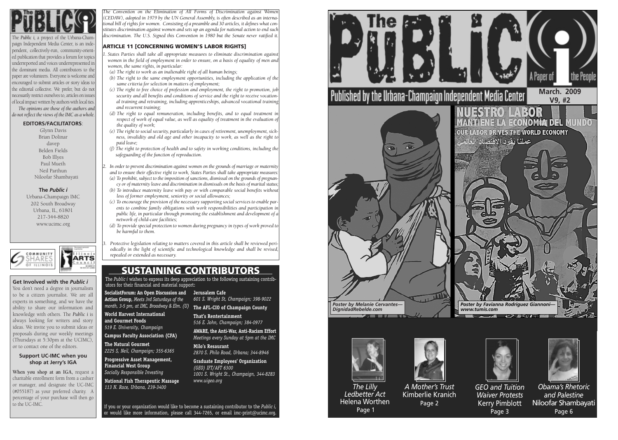

The *Public i,* a project of the Urbana-Champaign Independent Media Center, is an independent, collectively-run, community-oriented publication that provides a forum for topics underreported and voices underrepresented in the dominant media. All contributors to the paper are volunteers. Everyone is welcome and encouraged to submit articles or story ideas to the editorial collective. We prefer, but do not necessarily restrict ourselves to, articles on issues of local impact written by authors with local ties. *The opinions are those of the authors and do not reflect the views of the IMC as a whole.*

### **EDITORS/FACILITATORS**:

Glynn Davis Brian Dolinar davep Belden Fields Bob Illyes Paul Mueth Neil Parthun Niloofar Shambayati

**The** *Public i* Urbana-Champaign IMC 202 South Broadway Urbana, IL, 61801 217-344-8820 www.ucimc.org



### **Support UC-IMC when you shop at Jerry's IGA**

**When you shop at an IGA,** request a charitable enrollment form from a cashier or manager, and designate the UC-IMC (#055187) as your preferred charity. A percentage of your purchase will then go to the UC-IMC.

### **Get Involved with the** *Public i*

You don't need a degree in journalism to be a citizen journalist. We are all experts in something, and we have the ability to share our information and knowledge with others. The *Public i* is always looking for writers and story ideas. We invite you to submit ideas or proposals during our weekly meetings (Thursdays at 5:30pm at the UCIMC), or to contact one of the editors.

> <sup>I</sup>f you or your organization would like to become a sustaining contributor to the *Public i,* or would like more information, please call 344-7265, or email imc-print@ucimc.org.

## **SUSTAINING CONTRIBUTORS**

The *Public i* wishes to express its deep appreciation to the following sustaining contributors for their financial and material support:

**SocialistForum: An Open Discussion and Action Group,** *Meets 3rd Saturdays of the*

**World Harvest International and Gourmet Foods** *519 E. University, Champaign*

**Campus Faculty Association (CFA)**

**The Natural Gourmet** *2225 S, Neil, Champaign; 355-6365*

*month, 3-5 pm, at IMC, Broadway & Elm. (U)*  **The AFL-CIO of Champaign County Jerusalem Cafe** *601 S. Wright St, Champaign; 398-9022*

**Progressive Asset Management, Financial West Group**

*Socially Responsible Investing* **National Fish Therapeutic Massage**

*113 N. Race, Urbana, 239-3400*

**That's Rentertainment** *516 E. John, Champaign; 384-0977* 

**AWARE, the Anti-War, Anti-Racism Effort** *Meetings every Sunday at 5pm at the IMC*

**Milo's Resaurant** *2870 S. Philo Road, Urbana; 344-8946*

**Graduate Employees' Organization** *(GEO) IFT/AFT 6300 1001 S. Wright St., Champaign, 344-8283 www.uigeo.org*

*The Convention on the Elimination of All Forms of Discrimination against Women (CEDAW), adopted in 1979 by the UN General Assembly, is often described as an international bill of rights for women. Consisting of a preamble and 30 articles, it defines what constitutes discrimination against women and sets up an agenda for national action to end such discrimination. The U.S. Signed this Convention in 1980 but the Senate never ratified it.*

### **ARTICLE 11 [CONCERNING WOMEN'S LABOR RIGHTS]**

- *1. States Parties shall take all appropriate measures to eliminate discrimination against women in the field of employment in order to ensure, on a basis of equality of men and women, the same rights, in particular:*
- *(a) The right to work as an inalienable right of all human beings;*
- *(b) The right to the same employment opportunities, including the application of the same criteria for selection in matters of employment;*
- *(c) The right to free choice of profession and employment, the right to promotion, job security and all benefits and conditions of service and the right to receive vocational training and retraining, including apprenticeships, advanced vocational training and recurrent training;*
- *(d) The right to equal remuneration, including benefits, and to equal treatment in respect of work of equal value, as well as equality of treatment in the evaluation of the quality of work;*
- *(e) The right to social security, particularly in cases of retirement, unemployment, sickness, invalidity and old age and other incapacity to work, as well as the right to paid leave;*
- *(f) The right to protection of health and to safety in working conditions, including the safeguarding of the function of reproduction.*
- *2. In order to prevent discrimination against women on the grounds of marriage or maternity and to ensure their effective right to work, States Parties shall take appropriate measures: (a) To prohibit, subject to the imposition of sanctions, dismissal on the grounds of pregnancy or of maternity leave and discrimination in dismissals on the basis of marital status;*
- *(b) To introduce maternity leave with pay or with comparable social benefits without loss of former employment, seniority or social allowances;*
- *(c) To encourage the provision of the necessary supporting social services to enable parents to combine family obligations with work responsibilities and participation in public life, in particular through promoting the establishment and development of a network of child-care facilities;*
- *(d) To provide special protection to women during pregnancy in types of work proved to be harmful to them.*



*3. Protective legislation relating to matters covered in this article shall be reviewed periodically in the light of scientific and technological knowledge and shall be revised, repealed or extended as necessary.*



*Ledbetter Act* Helena Worthen Page 1



*A Mother's Trust* Kimberlie Kranich Page 2



*GEO and Tuition Waiver Protests* Kerry Pimblott Page 3



*Obama's Rhetoric and Palestine* Niloofar Shambayati Page 6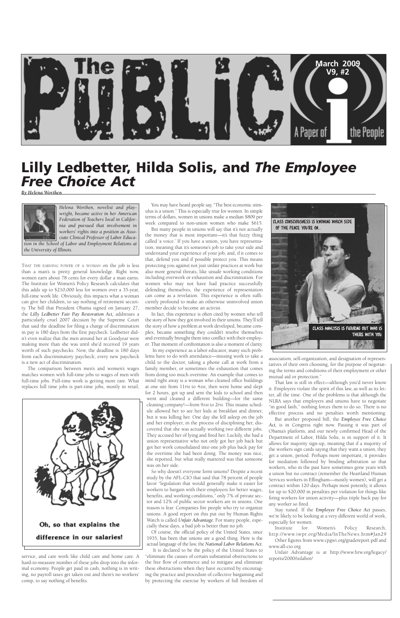

THAT THE EARNING POWER OF A WOMAN on the job is less than a man's is pretty general knowledge. Right now, women earn about 78 cents for every dollar a man earns. The Institute for Women's Policy Research calculates that this adds up to \$210,000 less for women over a 35-year, full-time work life. Obviously, this impacts what a woman can give her children, to say nothing of retirement security. The bill that President Obama signed on January 27, the *Lilly Ledbetter Fair Pay Restoration Act,* addresses a particularly cruel 2007 decision by the Supreme Court that said the deadline for filing a charge of discrimination in pay is 180 days from the first paycheck. Ledbetter didn't even realize that the men around her at Goodyear were making more than she was until she'd received 19 years worth of such paychecks. Now, the deadline is 180 days from each discriminatory paycheck; every new paycheck is a new act of discrimination.

The comparison between men's and women's wages matches women with full-time jobs to wages of men with full-time jobs. Full-time work is getting more rare. What replaces full time jobs is part-time jobs, mostly in retail,



service, and care work like child care and home care. A hard-to-measure number of these jobs drop into the informal economy. People get paid in cash, nothing is in writing, no payroll taxes get taken out and there's no workers' comp, to say nothing of benefits.

You may have heard people say, "The best economic stimulus is a union." This is especially true for women. In simple terms of dollars, women in unions make a median \$809 per week compared to non-union women who make \$615.

But many people in unions will say that it's not actually the money that is most important—it's that fuzzy thing called 'a voice.' If you have a union, you have representation, meaning that it's someone's job to take your side and understand your experience of your job, and, if it comes to that, defend you and if possible protect you. This means protecting you against not just unfair practices at work but also more general threats, like unsafe working conditions including overwork or exhaustion and discrimination. For women who may not have had practice successfully defending themselves, the experience of representation can come as a revelation. This experience is often sufficiently profound to make an otherwise uninvolved union member decide to become an activist.

In fact, this experience is often cited by women who tell the story of how they got involved in their unions. They'll tell the story of how a problem at work developed, became complex, became something they couldn't resolve themselves and eventually brought them into conflict with their employer. That moment of confrontation is also a moment of clarity.

In my experience as a labor educator, many such problems have to do with attendance—missing work to take a child to the doctor, taking a phone call at work from a family member, or sometimes the exhaustion that comes from doing too much overtime. An example that comes to mind right away is a woman who cleaned office buildings at one site from 11PM to 4AM, then went home and slept for 2 hours, got up and sent the kids to school and then went and cleaned a different building—for the same cleaning company!—from 9AM to 2PM. This insane schedule allowed her to see her kids at breakfast and dinner, but it was killing her. One day she fell asleep on the job and her employer, in the process of disciplining her, discovered that she was actually working two different jobs. They accused her of lying and fired her. Luckily, she had a union representative who not only got her job back but got her work consolidated into one job plus back pay for the overtime she had been doing. The money was nice,

she reported, but what really mattered was that someone was on her side.

So why doesn't everyone form unions? Despite a recent study by the AFL-CIO that said that 78 percent of people favor "legislation that would generally make it easier for workers to bargain with their employers for better wages, benefits, and working conditions," only 7% of private sector and 12% of public sector workers are in unions. One reason is fear. Companies fire people who try to organize unions. A good report on this put out by Human Rights Watch is called *Unfair Advantage.* For many people, especially these days, a bad job is better than no job.

Of course, the official policy of the United States, since 1935, has been that unions are a good thing. Here is the actual language of the law, the *National Labor Relations Act.*

It is declared to be the policy of the United States to "eliminate the causes of certain substantial obstructions to the free flow of commerce and to mitigate and eliminate these obstructions when they have occurred by encouraging the practice and procedure of collective bargaining and by protecting the exercise by workers of full freedom of

association, self-organization, and designation of representatives of their own choosing, for the purpose of negotiating the terms and conditions of their employment or other mutual aid or protection."

That law is still in effect—although you'd never know it. Employers violate the spirit of this law, as well as its letter, all the time. One of the problems is that although the NLRA says that employers and unions have to negotiate "in good faith," nothing forces them to do so. There is no effective process and no penalties worth mentioning.

But another proposed bill, the *Employee Free Choice Act,* is in Congress right now. Passing it was part of Obama's platform, and our newly confirmed Head of the Department of Labor, Hilda Solis, is in support of it. It allows for majority sign-up, meaning that if a majority of the workers sign cards saying that they want a union, they get a union, period. Perhaps more important, it provides for mediation followed by binding arbitration so that workers, who in the past have sometimes gone years with a union but no contract (remember the Heartland Human Services workers in Effingham—mostly women), will get a contract within 120 days. Perhaps most potently, it allows for up to \$20,000 in penalties per violation for things like firing workers for union activity—plus triple back pay for any worker so fired. Stay tuned. If the *Employee Free Choice Act* passes, we're likely to be looking at a very different world of work, especially for women. Institute for Women's Policy Research, http://www.iwpr.org/Media/InTheNews.htm#Jan29 Other figures from www.cpgwi.org/gradereport.pdf and www.afl-cio.org

Unfair Advantage is at http://www.hrw.org/legacy/ reports/2000/uslabor/

# **Lilly Ledbetter, Hilda Solis, and** *The Employee Free Choice Act*

*By Helena Worthen*



*Helena Worthen, novelist and playwright, became active in her American Federation of Teachers local in California and pursued that involvement in workers' rights into a position as Associate Clinical Professor of Labor Educa-*

*tion in the School of Labor and Employment Relations at the University of Illinois.*

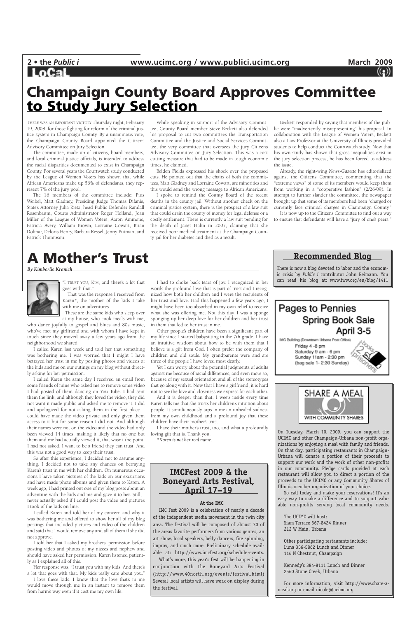## **LoCal**

THERE WAS AN IMPORTANT VICTORY Thursday night, February 19, 2008, for those fighting for reform of the criminal justice system in Champaign County. By a unanimous vote, the Champaign County Board appointed the Citizens Advisory Committee on Jury Selection.

The committee, made up of citizens, board members, and local criminal justice officials, is intended to address the racial disparities documented to exist in Champaign County. For several years the Courtwatch study conducted by the League of Women Voters has shown that while African Americans make up 56% of defendants, they represent 7% of the jury pool.

The 16 members of the committee include: Pius Weibel, Matt Gladney, Presiding Judge Thomas Difanis, State's Attorney Julia Rietz, head Public Defender Randall Rosenbaum, Courts Administrator Roger Holland, Joan Miller of the League of Women Voters, Aaron Ammons, Patricia Avery, William Brown, Lorraine Cowart, Brian Dolinar, Deloris Henry, Barbara Kessel, Jenny Putman, and Patrick Thompson.

While speaking in support of the Advisory Committee, County Board member Steve Beckett also defended his proposal to cut two committees the Transportation Committee and the Justice and Social Services Committee, the very committee that oversees the jury Citizens Advisory Committee on Jury Selection. This was a cost cutting measure that had to be made in tough economic times, he claimed.

"I TRUST YOU, KIM, and there's a lot that goes with that.'

Belden Fields expressed his shock over the proposed cuts. He pointed out that the chairs of both the committees, Matt Gladney and Lorraine Cowart, are minorities and this would send the wrong message to African Americans.

I spoke to remind the County Board of the recent deaths in the county jail. Without another check on the criminal justice system, there is the prospect of a law suit that could drain the county of money for legal defense or a costly settlement. There is currently a law suit pending for the death of Janet Hahn in 2007, claiming that she received poor medical treatment at the Champaign County jail for her diabetes and died as a result.

Beckett responded by saying that members of the public were "inadvertently misrepresenting" his proposal. In collaboration with the League of Women Voters, Beckett also a Law Professor at the University of Illinois provided students to help conduct the Courtwatch study. Now that his own study has shown that gross inequalities exist in the jury selection process, he has been forced to address the issue.

Already, the right-wing *News-Gazette* has editorialized against the Citizens Committee, commenting that the "extreme views" of some of its members would keep them from working in a "cooperative fashion" (2/26/09). In attempt to further slander the committee, the newspaper brought up that some of its members had been "charged or currently face criminal charges in Champaign County."

It is now up to the Citizens Committee to find out a way to ensure that defendants will have a "jury of one's peers."

## **Champaign County Board Approves Committee to Study Jury Selection**

That was the response I received from Karen\*, the mother of the kids I take with me on adventures.

These are the same kids who sleep over at my house, who cook meals with me,

who dance joyfully to gospel and blues and 80s music, who've met my girlfriend and with whom I have kept in touch since they moved away a few years ago from the neighborhood we shared.

I called Karen last week and told her that something was bothering me. I was worried that I might I have betrayed her trust in me by posting photos and videos of the kids and me on our outings on my blog without directly asking for her permission.

I called Karen the same day I received an email from some friends of mine who asked me to remove some video I had posted of them dancing on You Tube. I had sent them the link, and although they loved the video, they did not want it made public and asked me to remove it. I did and apologized for not asking them in the first place. I could have made the video private and only given them access to it but for some reason I did not. And although their names were not on the video and the video had only been viewed 14 times, making it likely that no one but them and me had actually viewed it, that wasn't the point. I had not asked. I want to be a friend they can trust. And this was not a good way to keep their trust. So after this experience, I decided not to assume anything. I decided not to take any chances on betraying Karen's trust in me with her children. On numerous occasions I have taken pictures of the kids on our excursions and have made photo albums and given them to Karen. A week ago, I had printed out one of my blog posts about an adventure with the kids and me and gave it to her. Still, I never actually asked if I could post the video and pictures I took of the kids on-line.

I called Karen and told her of my concern and why it was bothering me and offered to show her all of my blog postings that included pictures and video of the children and said that I would remove any and all of them if she did not approve.

I told her that I asked my brothers' permission before posting video and photos of my nieces and nephew and should have asked her permission. Karen listened patiently as I explained all of this.

Her response was, "I trust you with my kids. And there's a lot that goes with that. My kids really care about you."

I love these kids. I know that the love that's in me would move through me in an instant to remove them from harm's way even if it cost me my own life.

I had to choke back tears of joy. I recognized in her words the profound love that is part of trust and I recognized how both her children and I were the recipients of her trust and love. Had this happened a few years ago, I might have been too absorbed in my own relief to receive what she was offering me. Not this day. I was a sponge sponging up her deep love for her children and her trust in them that led to her trust in me.

Other people's children have been a significant part of my life since I started babysitting in the 7th grade. I have an intuitive wisdom about how to be with them that I believe is a gift from God. I often prefer the company of children and old souls. My grandparents were and are three of the people I have loved most dearly.

Yet I can worry about the potential judgments of adults against me because of racial differences, and even more so, because of my sexual orientation and all of the stereotypes that go along with it. Now that I have a girlfriend, it is hard not to see the love and closeness we express for each other.

And it is deeper than that. I weep inside every time Karen tells me that she trusts her children's intuition about people. It simultaneously taps in me an unhealed sadness from my own childhood and a profound joy that these children have their mother's trust.

I have their mother's trust, too, and what a profoundly loving gift that is. Thank you.

*\*Karen is not her real name.*





# **A Mother's Trust**

*By Kimberlie Kranich*



On Tuesday, March 10, 2009, you can support the UCIMC and other Champaign-Urbana non-profit organizations by enjoying a meal with family and friends. On that day, participating restaurants in Champaign-Urbana will donate a portion of their proceeds to support our work and the work of other non-profits in our community. Pledge cards provided at each restaurant will allow you to direct a portion of the proceeds to the UCIMC or any Community Shares of Illinois member organization of your choice.

So call today and make your reservations! It's an easy way to make a difference and to support valuable non-profits serving local community needs.

The UCIMC will host: Siam Terrace 367-8424 Dinner 212 W Main, Urbana

Other participating restaurants include: Luna 356-5862 Lunch and Dinner 116 N Chestnut, Champaign

Kennedy's 384-8111 Lunch and Dinner 2560 Stone Creek, Urbana

For more information, visit http://www.share-ameal.org or email nicole@ucimc.org

## **IMCFest 2009 & the Boneyard Arts Festival, April 17–19**

#### **At the IMC**

IMC Fest 2009 is a celebration of nearly a decade of the independent media movement in the twin city area. The festival will be composed of almost 30 of the areas favorite performers from various genres, an art show, local speakers, belly dancers, fire spinning, improv, and much more. Preliminary schedule available at: http://www.imcfest.org/schedule-events. What's more, this year's fest will be happening in conjunction with the Boneyard Arts Festival (http://www.40north.org/events/festival.html) Several local artists will have work on display during the festival.

**Recommended Blog**

There is now a blog devoted to labor and the economic crisis by *Public i* contributor John Reimann. You can read his blog at: www.iww.org/en/blog/1411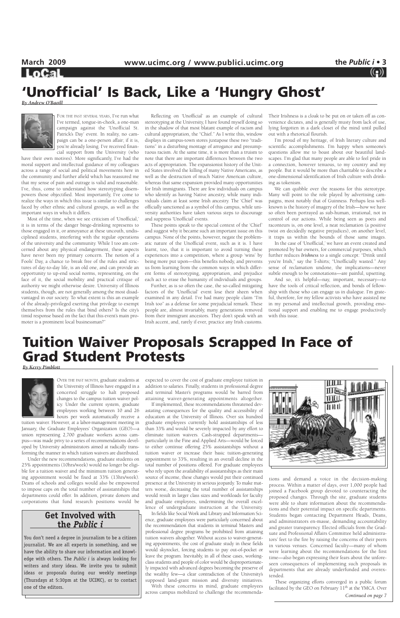**LoCal** 

FOR THE PAST SEVERAL YEARS, I've run what I've termed, tongue-in-cheek, a one-man campaign against the 'Unofficial St. Patrick's Day' event. In reality, no campaign can be a one-person affair; if it is, you're already losing. I've received financial support from the University (who

have their own motives). More significantly, I've had the moral support and intellectual guidance of my colleagues across a range of social and political movements here in the community and further afield which has reassured me that my sense of pain and outrage is valid and reasonable. I've, thus, come to understand how stereotyping disempowers those objectified. Most importantly, I've come to realize the ways in which this issue is similar to challenges faced by other ethnic and cultural groups, as well as the important ways in which it differs.

Most of the time, when we see criticism of 'Unofficial,' it is in terms of the danger binge-drinking represents to those engaged in it, or annoyance at these uncouth, undisciplined students, interfering with the regular operations of the university and the community. While I too am concerned about any physical endangerment, these aspects have never been my primary concern. The notion of a Fools' Day, a chance to break free of the rules and strictures of day-to-day life, is an old one, and can provide an opportunity to up-end social norms, representing, on the face of it, the social mobility and practical critique of authority we might otherwise desire. University of Illinois students, though, are not generally among the most disadvantaged in our society. To what extent is this an example of the already-privileged exerting that privilege to exempt themselves from the rules that bind others? Is the city's timid response based on the fact that this event's main promoter is a prominent local businessman?"

Reflecting on 'Unofficial' as an example of cultural stereotyping at the University, I have found myself doing so in the shadow of that most blatant example of racism and cultural appropriation, the "Chief." As I write this, window displays in campus-town stores juxtapose these two "traditions" in a disturbing montage of arrogance and presumptuous racism. At the same time, it is more than a truism to note that there are important differences between the two acts of appropriation. The expansionist history of the United States involved the killing of many Native Americans, as well as the destruction of much Native American culture, whereas that same expansion provided many opportunities for Irish immigrants. There are few individuals on campus who identify as having Native ancestry, while many individuals claim at least some Irish ancestry. The 'Chief' was officially sanctioned as a symbol of this campus, while university authorities have taken various steps to discourage and suppress 'Unofficial' events.

These points speak to the special context of the 'Chief' and suggest why it became such an important issue on this campus. None of the points, however, negate the problematic nature of the Unofficial event, such as it is. I have learnt, too, that it is important to avoid turning these experiences into a competition, where a group 'wins' by being more put upon—this benefits nobody, and prevents us from learning from the common ways in which different forms of stereotyping, appropriation, and prejudice each act to erase the humanity of individuals and groups.

Further, as is so often the case, the so-called mitigating factors of the 'Unofficial' event lose their sheen when examined in any detail. I've had many people claim "I'm Irish too" as a defense for some prejudicial remark. These people are, almost invariably, many generations removed from their immigrant ancestors. They don't speak with an Irish accent, and, rarely if ever, practice any Irish customs.

Their Irishness is a cloak to be put on or taken off as convenience dictates, and is generally musty from lack of use, lying forgotten in a dark closet of the mind until pulled out with a rhetorical flourish.

I'm proud of my heritage, of Irish literary culture and scientific accomplishments. I'm happy when someone's questions allow me to boast about our beautiful landscapes. I'm glad that many people are able to feel pride in a connection, however tenuous, to my country and my people. But it would be more than charitable to describe a one-dimensional identification of Irish culture with drinking as tokenism.

We can quibble over the reasons for this stereotype. Many will point to the role played by advertising campaigns, most notably that of Guinness. Perhaps less wellknown is the history of imagery of the Irish—how we have so often been portrayed as sub-human, irrational, not in control of our actions. While being seen as poets and raconteurs is, on one level, a neat reclamation (a positive twist on decidedly negative prejudices), on another level, it traps us within the bounds of those same images.

In the case of 'Unofficial,' we have an event created and promoted by bar owners, for commercial purposes, which further reduces *Irishness* to a single concept: "Drink until you're Irish," say the T-shirts; "Unofficially wasted." Any sense of reclamation undone, the implications—never subtle enough to be connotations—are painful, upsetting.

And so, it's helpful—nay, important, necessary—to have the tools of critical reflection, and bonds of fellowship with those who can engage us in dialogue. I'm grateful, therefore, for my fellow activists who have assisted me in my personal and intellectual growth, providing emotional support and enabling me to engage productively with this issue.

# **'Unofficial' Is Back, Like a 'Hungry Ghost'**

*By Andrew O'Baoill*



## **Tuition Waiver Proposals Scrapped In Face of Grad Student Protests**

**By Kerry Pimblot** 



OVER THE PAST MONTH, graduate students at the University of Illinois have engaged in a concerted struggle to halt proposed changes to the campus tuition waiver policy. Under the current system, graduate employees working between 10 and 26 hours per week automatically receive a

tuition waiver. However, at a labor-management meeting in January, the Graduate Employees' Organization (GEO)—a union representing 2,700 graduate workers across campus—was made privy to a series of recommendations developed by University administrators aimed at radically transforming the manner in which tuition waivers are distributed.

Under the new recommendations, graduate students on 25% appointments (10hrs/week) would no longer be eligible for a tuition waiver and the minimum tuition generating appointment would be fixed at 33% (13hrs/week). Deans of schools and colleges would also be empowered to impose caps on the total number of assistantships that departments could offer. In addition, private donors and corporations that fund research positions would be expected to cover the cost of graduate employee tuition in addition to salaries. Finally, students in professional degree and terminal Master's programs would be barred from attaining waiver-generating appointments altogether.

If implemented, these recommendations threatened devastating consequences for the quality and accessibility of education at the University of Illinois. Over six hundred graduate employees currently hold assistantships of less than 33% and would be severely impacted by any effort to eliminate tuition waivers. Cash-strapped departments particularly in the Fine and Applied Arts—would be forced to either continue offering 25% assistantships without a tuition waiver or increase their basic tuition-generating appointment to 33%, resulting in an overall decline in the total number of positions offered. For graduate employees who rely upon the availability of assistantships as their main source of income, these changes would put their continued presence at the University in serious jeopardy. To make matters worse, decreasing the total number of assistantships would result in larger class sizes and workloads for faculty and graduate employees, undermining the overall excellence of undergraduate instruction at the University. In fields like Social Work and Library and Information Science, graduate employees were particularly concerned about the recommendation that students in terminal Masters and professional degree programs be prohibited from attaining tuition waivers altogether. Without access to waiver-generating appointments, the cost of graduate study in these fields would skyrocket, forcing students to pay out-of-pocket or leave the program. Inevitably, in all of these cases, workingclass students and people of color would be disproportionately impacted with advanced degrees becoming the preserve of the wealthy few—a clear contradiction of the University's supposed land-grant mission and diversity initiatives. With these concerns in mind, graduate employees across campus mobilized to challenge the recommenda-



tions and demand a voice in the decision-making process. Within a matter of days, over 1,000 people had joined a Facebook group devoted to counteracting the proposed changes. Through the site, graduate students were able to share information about the recommendations and their potential impact on specific departments. Students began contacting Department Heads, Deans, and administrators en-masse, demanding accountability and greater transparency. Elected officials from the Graduate and Professional Affairs Committee held administrators' feet to the fire by raising the concerns of their peers in various venues. Concerned faculty—many of whom were learning about the recommendations for the first time—also began expressing their fears about the unforeseen consequences of implementing such proposals in departments that are already underfunded and overextended.

These organizing efforts converged in a public forum facilitated by the GEO on February  $11<sup>th</sup>$  at the YMCA. Over *Continued on page 7*

### **Get Involved with the** *Public i*

You don't need a degree in journalism to be a citizen journalist. We are all experts in something, and we have the ability to share our information and knowledge with others. The *Public i* is always looking for writers and story ideas. We invite you to submit ideas or proposals during our weekly meetings (Thursdays at 5:30pm at the UCIMC), or to contact one of the editors.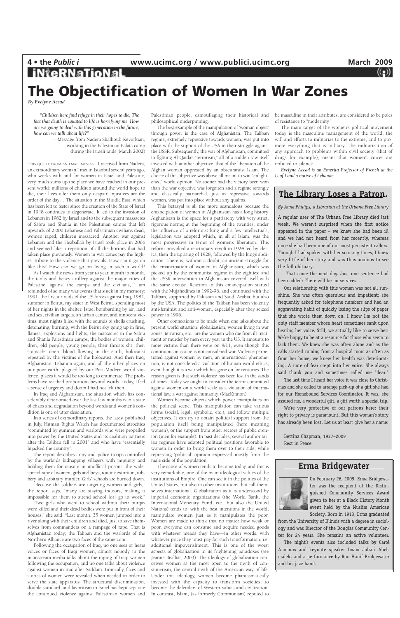### **Erma Bridgewater**



On February 26, 2009, Erma Bridgewater was the recipient of the Distinguished Community Services Award given to her at a Black History Month event held by the Muslim American Society. Born in 1913, Erma graduated

# **iNteRNaTioNal The Objectification of Women In War Zones**

from the University of Illinois with a degree in sociology and was Director of the Douglas Community Center for 24 years. She remains an active volunteer. The night's events also included talks by Carol Ammons and keynote speaker Imam Johari Abelmalek, and a performance by Ron Hanif Bridgewater and his jazz band.

*By Evelyne Accad*

### **The Library Loses a Patron.**

*By Anne Phillips, a Librarian at the Urbana Free Library*

A regular user of The Urbana Free Library died last week. We weren't surprised when the first notice appeared in the paper – we knew she had been ill and we had not heard from her recently, whereas once she had been one of our most persistent callers. Though I had spoken with her so many times, I knew very little of her story and was thus anxious to see the full obituary.

That came the next day. Just one sentence had been added: There will be no services.

Our relationship with this woman was not all sunshine. She was often querulous and impatient; she frequently asked for telephone numbers and had an aggravating habit of quickly losing the slips of paper that she wrote them down on. I know I'm not the only staff member whose heart sometimes sank upon hearing her voice. Still, we actually like to serve her: We're happy to be at a resource for those who seem to lack them. We knew she was often alone and as the calls started coming from a hospital room as often as from her home, we knew her health was deteriorating. A note of fear crept into her voice. She always said thank you and sometimes called me "dear."

The last time I heard her voice it was close to Christmas and she called to arrange pick-up of a gift she had for our Homebound Services Coordinator. It was, she assured me, a wonderful gift, a gift worth a special trip.

We're very protective of our patrons here; their right to privacy is paramount. But this woman's story has already been lost. Let us at least give her a name:

Bettina Chapman, 1937–2009 Rest in Peace

*"Children here find refuge in their hopes to die. The fact that death is equated to life is horrifying me. How are we going to deal with this generation in the future, how can we talk about life?"*

> —Message from Nadera Shalhoub-Kevorkian, working in the Palestinian Balata camp during the Israeli raids, March 2002)

THIS QUOTE FROM AN EMAIL MESSAGE I received from Nadera, an extraordinary woman I met in Istanbul several years ago, who works with and for women in Israel and Palestine, very much sums up the place we have reached in our present world: millions of children around the world hope to die, their lives offer them only despair, injustices are the order of the day… The situation in the Middle East, which has been left to fester since the creation of the State of Israel in 1948 continues to degenerate. It led to the invasion of Lebanon in 1982 by Israel and to the subsequent massacres of Sabra and Shatila in the Palestinian camps that left upwards of 2,000 Lebanese and Palestinian civilians dead, women raped, children massacred. Another war against Lebanon and the Hezballah by Israel took place in 2006 and seemed like a repetition of all the horrors that had taken place previously. Women in war zones pay the highest tribute to the violence that prevails. How can it go on like this? How can we go on living in such a world?

As I watch the news from year to year, month to month, the tanks and heavy artillery against the major cities of Palestine, against the camps and the civilians, I am reminded of so many war events that stuck in my memory: 1991, the first air raids of the US forces against Iraq, 1982, summer in Beirut, my sister in West Beirut, spending most of her nights in the shelter, Israel bombarding by air, land and sea, civilian targets, an urban center, and innocent victims, most nights filled with the sounds of shells crushing, detonating, burning, with the Beirut sky going up in fires, flames, explosions and lights, the massacres in the Sabra and Shatila Palestinian camps, the bodies of women, children, old people, young people, their throats slit, their stomachs open, blood flowing in the earth, holocaust repeated by the victims of the holocaust. And then Iraq, Afghanistan, Lebanon again, and all the other places on our poor earth, plagued by our Post-Modern world violence, places it would be too long to enumerate. The problems have reached proportions beyond words. Today, I feel a sense of urgency and doom I had not felt then.

In Iraq and Afghanistan, the situation which has considerably deteriorated over the last few months is in a state of chaos and degradation beyond words and women's condition is one of utter desolation.

In a series of extraordinary reports, the latest published in July, Human Rights Watch has documented atrocities "committed by gunmen and warlords who were propelled into power by the United States and its coalition partners after the Taliban fell in 2001" and who have "essentially hijacked the country".

The report describes army and police troops controlled by the warlords kidnapping villagers with impunity and holding them for ransom in unofficial prisons; the widespread rape of women, girls and boys; routine extortion, robbery and arbitrary murder. Girls' schools are burned down.

"Because the soldiers are targeting women and girls," the report says, "many are staying indoors, making it impossible for them to attend school [or] go to work."

"Two girls who went to school without their burqas were killed and their dead bodies were put in front of their houses," she said. "Last month, 35 women jumped into a river along with their children and died, just to save themselves from commanders on a rampage of rape. That is Afghanistan today; the Taliban and the warlords of the Northern Alliance are two faces of the same coin.

Following the occupation of Iraq, no one sees or hears voices or faces of Iraqi women, almost nobody in the mainstream media talks about the raping of Iraqi women following the occupation, and no one talks about violence against women in Iraq after Saddam. Ironically, faces and stories of women were revealed when needed in order to serve the state apparatus. The structural discrimination, double standard, and favoritism to Israel has kept separate the continued violence against Palestinian women and

Palestinian people, camouflaging their historical and philosophical underpinning.

The best example of the manipulation of 'woman object' through power is the case of Afghanistan. The Taliban regime, extremely repressive towards women, was put into place with the support of the USA in their struggle against the USSR. Subsequently, the war of Afghanistan, committed to fighting Al-Qaida's "terrorism," all of a sudden saw itself invested with another objective, that of the liberation of the Afghan woman oppressed by an obscurantist Islam. The choice of this objective was above all meant to win "enlightened" world opinion. No sooner had the victory been won than the war objective was forgotten and a regime strongly and classically patriarchal, just as repressive towards women, was put into place without any qualms.

This betrayal is all the more scandalous because the emancipation of women in Afghanistan has a long history. Afghanistan is the space for a patriarchy with very strict, rigorous norms; at the beginning of the twenties, under the influence of a reformist king and a few intellectuals, legislation was adopted which, in all of Islam, was the most progressive in terms of women's liberation. This reform provoked a reactionary revolt in 1924 led by clerics, then the uprising of 1928, followed by the king's abdication. There is, without a doubt, an ancient struggle for the emancipation of women in Afghanistan, which was picked up by the communist regime in the eighties; and the USSR intervention in Afghanistan covered itself with the same excuse. Reaction to this emancipation started with the Mujahedines in 1992-96, and continued with the Taliban, supported by Pakistan and Saudi Arabia, but also by the USA. The politics of the Taliban has been violently anti-feminist and anti-women, especially after they seized power in 1996.

Other connections to be made when one talks about the present world situation, globalization, women living in war zones, terrorism, etc., are the women who die from ill-treatment or murder by men every year in the US. It amounts to more victims than there were on 9/11, even though this continuous massacre is not considered war. Violence perpetrated against women by men, an international phenomenon, is not considered a violation of human world ethics, even though it is a war which has gone on for centuries. The reason given is that such violence has been lost in the sands of times. Today we ought to consider the terror committed against women on a world scale as a violation of international law, a war against humanity. (MacKinnon)

Women become objects which power manipulates on the political scene. This manipulation can take various forms (social, legal, symbolic, etc.), and follow multiple objectives. It can try to obtain political support from the population itself being manipulated (here meaning women), or the support from other sectors of public opinion (men for example). In past decades, several authoritarian regimes have adopted political positions favorable to women in order to bring them over to their side, while repressing 'political' opinion expressed mostly from the male side of the population. The cause of women tends to become today, and this is very remarkable, one of the main ideological values of the institutions of Empire. One can see it in the politics of the United States, but also in other institutions that call themselves international. Globalization as it is understood by imperial economic organizations (the World Bank, the International Monetary Fund, etc., but also the United Nations) tends to, with the best intentions in the world, manipulate women just as it manipulates the poor. Women are made to think that no matter how weak or poor, everyone can consume and acquire needed goods with whatever means they have—in other words, with whatever price they must pay for such transformation, i.e. additional impoverishment. This is one of the worst aspects of globalization in its frightening paradoxes (see Jeanne Bisilliat, 2003). The ideology of globalization conceives women as the most open to the myth of consumerism, the central myth of the American way of life. Under this ideology, women become phantasmatically invested with the capacity to transform societies, to become the defenders of Western values and civilization. In contrast, Islam, (as formerly Communism) reputed to be masculine in their attributes, are considered to be poles of resistance to "modernity."

The main target of the women's political movement today is the masculine management of the world, the will and efforts to militarize to the extreme, and to promote everything that is military. The militarization of any approach to problems within civil society (that of drugs for example), means that women's voices are reduced to silence.

*Evelyne Accad is an Emerita Professor of French at the U of I and a native of Lebanon.*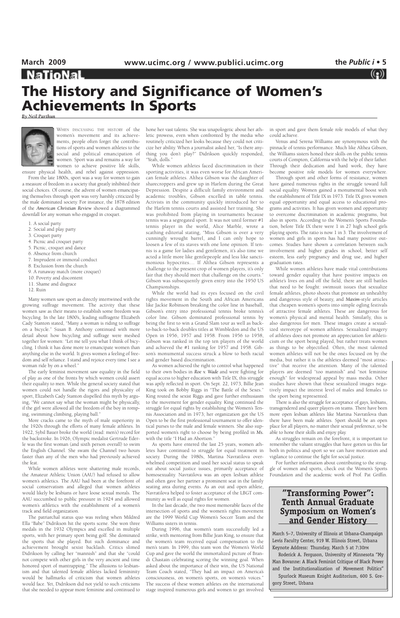# **The History and Significance of Women's Achievements In Sports**

*By Neil Parthun*



WHEN DISCUSSING THE HISTORY of the women's movement and its achievements, people often forget the contributions of sports and women athletes to the social and political emancipation of women. Sport was and remains a way for women to achieve positive life skills,

ensure physical health, and rebel against oppression.

From the late 1800s, sport was a way for women to gain a measure of freedom in a society that greatly inhibited their social choices. Of course, the advent of women emancipating themselves through sport was very harshly criticized by the male dominated society. For instance, the 1878 edition of the *American Christian Review* showed a diagrammed downfall for any woman who engaged in croquet.

- 1. A social party
- 2. Social and play party
- 3. Croquet party
- 4. Picnic and croquet party
- 5. Picnic, croquet and dance
- 6. Absence from church
- 7. Imprudent or immoral conduct
- 8. Exclusion from the church
- 9. A runaway match (more croquet)
- 10. Poverty and discontent
- 11. Shame and disgrace
- 12. Ruin

Many women saw sport as directly intertwined with the growing suffrage movement. The activity that these women saw as their means to establish some freedom was bicycling. In the late 1800's, leading suffragette Elizabeth Cady Stanton stated, "Many a woman is riding to suffrage on a bicycle." Susan B. Anthony continued with more detail about how bicycling and suffrage were meshed together for women: "Let me tell you what I think of bicycling. I think it has done more to emancipate women than anything else in the world. It gives women a feeling of freedom and self reliance. I stand and rejoice every time I see a woman ride by on a wheel."

The early feminist movement saw equality in the field of play as one of the fronts by which women could assert their equality to men. While the general society stated that women could not handle the rigors and physicality of sport, Elizabeth Cady Stanton dispelled this myth by arguing, "We cannot say what the woman might be physically, if the girl were allowed all the freedom of the boy in romping, swimming climbing, playing ball."

More cracks came to the myth of male superiority in the 1920s through the efforts of many female athletes. In 1922, Sybil Bauer broke the world (read: men's) record for the backstroke. In 1926, Olympic medalist Gertrude Ederle was the first woman (and sixth person overall) to swim the English Channel. She swam the Channel two hours

faster than any of the men who had previously achieved the feat.

While women athletes were shattering male records, the Amateur Athletic Union (AAU) had refused to allow women's athletics. The AAU had been at the forefront of social conservatism and alleged that women athletes would likely be lesbians or have loose sexual morals. The AAU succumbed to public pressure in 1924 and allowed women's athletics with the establishment of a women's track and field organization.

The patriarchal status quo was reeling when Mildred Ella "Babe" Didrikson hit the sports scene. She won three medals in the 1932 Olympics and excelled in multiple sports, with her primary sport being golf. She dominated the sports that she played. But such dominance and achievement brought sexist backlash. Critics slimed Didrikson by calling her "mannish" and that she "could not compete with other girls in the very ancient and time honored sport of mantrapping." The allusions to lesbianism and that talented female athletes lacked femininity would be hallmarks of criticism that women athletes would face. Yet, Didrikson did not yield to such criticisms that she needed to appear more feminine and continued to hone her vast talents. She was unapologetic about her athletic prowess, even when confronted by the media who routinely criticized her looks because they could not criticize her ability. When a journalist asked her, "Is there anything you don't play?" Didrikson quickly responded, "Yeah, dolls."

While women athletes faced discrimination in their sporting activities, it was even worse for African American female athletes. Althea Gibson was the daughter of sharecroppers and grew up in Harlem during the Great Depression. Despite a difficult family environment and academic troubles, Gibson excelled in table tennis. Activists in the community quickly introduced her to the Harlem tennis courts and assisted her training. She was prohibited from playing in tournaments because tennis was a segregated sport. It was not until former #1 tennis player in the world, Alice Marble, wrote a scathing editorial stating, "Miss Gibson is over a very cunningly wrought barrel, and I can only hope to loosen a few of its staves with one lone opinion. If tennis is a game for ladies and gentlemen, it's also time we acted a little more like gentlepeople and less like sanctimonious hypocrites.... If Althea Gibson represents a challenge to the present crop of women players, it's only fair that they should meet that challenge on the courts." Gibson was subsequently given entry into the 1950 US Championships.

While the world had its eyes focused on the civil rights movement in the South and African Americans like Jackie Robinson breaking the color line in baseball, Gibson's entry into professional tennis broke tennis's color line. Gibson dominated professional tennis by being the first to win a Grand Slam tour as well as backto-back-to-back doubles titles at Wimbledon and the US Open in 1956, 1957 and 1958. From 1956 to 1958, Gibson was ranked in the top ten players of the world and achieved the #1 ranking for 1957 and 1958. Gibson's monumental success struck a blow to both racial and gender based discrimination.

As women achieved the right to control what happened to their own bodies in *Roe v. Wade* and were fighting for equal access to higher education with Title IX, this struggle was aptly reflected in sport. On Sept. 22, 1973, Billie Jean King took on Bobby Riggs in "The Battle of the Sexes." King routed the sexist Riggs and gave further enthusiasm to the movement for gender equality. King continued the struggle for equal rights by establishing the Women's Tennis Association and in 1973; her organization got the US Open to be the first professional tournament to offer identical purses to the male and female winners. She also supported women's right to choose by being profiled in *Ms.* with the title "I Had an Abortion."

As sports have entered the last 25 years, women athletes have continued to struggle for equal treatment in society. During the 1980s, Martina Navratilova overwhelmed competition and used her social status to speak out about social justice issues, primarily acceptance of homosexuality. Navratilova was an open lesbian athlete and often gave her partner a prominent seat in the family seating area during events. As an out and open athlete, Navratilova helped to foster acceptance of the LBGT community as well as equal rights for women. In the last decade, the two most memorable faces of the intersection of sports and the women's rights movement are the 1999 World Cup Women's Soccer Team and the Williams sisters in tennis. During 1996, that women's team successfully led a strike, with mentoring from Billie Jean King, to ensure that the women's team received equal compensation to the men's team. In 1999, this team won the Women's World Cup and gave the world the immortalized picture of Brandi Chastain celebrating scoring the winning goal. When asked about the importance of their win, the US National Team Coach stated, "They had an impact on America's consciousness, on women's sports, on women's voices." The success of these women athletes on the international stage inspired numerous girls and women to get involved

in sport and gave them female role models of what they could achieve.

Venus and Serena Williams are synonymous with the pinnacle of tennis performance. Much like Althea Gibson, the Williams sisters honed their skills on the public tennis courts of Compton, California with the help of their father. Through their dedication and hard work, they have become positive role models for women everywhere.

Through sport and other forms of resistance, women have gained numerous rights in the struggle toward full social equality. Women gained a monumental boost with the establishment of Title IX in 1973. Title IX gives women equal opportunity and equal access to educational programs and activities. It has given women and opportunity to overcome discrimination in academic programs, but also in sports. According to the Women's Sports Foundation, before Title IX there were 1 in 27 high school girls playing sports. The ratio is now 1 in 3. The involvement of women and girls in sports has had many positive outcomes. Studies have shown a correlation between such involvement and higher grades in school, better self esteem, less early pregnancy and drug use, and higher graduation rates.

While women athletes have made vital contributions toward gender equality that have positive impacts on athlete's lives on and off the field, there are still battles that need to be fought: swimsuit issues that sexualize female athletes, photo shoots that promote an unhealthy and dangerous style of beauty, and *Maxim*-style articles that cheapen women's sports into simple ogling festivals of attractive female athletes. These are dangerous for women's physical and mental health. Similarly, this is also dangerous for men. These images create a sexualized stereotype of women athletes. Sexualized imagery of athletes does not promote an appreciation for athleticism or the sport being played, but rather treats women as things to be objectified. Often, the most talented women athletes will not be the ones focused on by the media, but rather it is the athletes deemed "most attractive" that receive the attention. Many of the talented players are deemed "too mannish" and "not feminine enough" for widespread appeal by mass media. Other studies have shown that these sexualized images negatively impact the interest level of males and females to the sport being represented.

There is also the struggle for acceptance of gays, lesbians, transgendered and queer players on teams. There have been more open lesbian athletes like Martina Navratilova than there have been male athletes. Sport should be an open place for all players, no matter their sexual preference, to be able to hone their skills and enjoy play.

As struggles remain on the forefront, it is important to remember the valiant struggles that have gotten us this far both in politics and sport so we can have motivation and

vigilance to continue the fight for social justice.

For further information about contributing to the struggle of women and sports, check out the Women's Sports Foundation and the academic work of Prof. Pat Griffin.

### **"Transforming Power": Tenth Annual Graduate Symposium on Women's and Gender History**

March 5–7, University of Illinois at Urbana-Champaign Levis Faculty Center, 919 W. Illinois Street, Urbana Keynote Address: Thursday, March 5 at 7:30PM Roderick A. Ferguson, University of Minnesota "My Man Bovanne: A Black Feminist Critique of Black Power and the Institutionalization of Movement Politics" Spurlock Museum Knight Auditorium, 600 S. Gregory Street, Urbana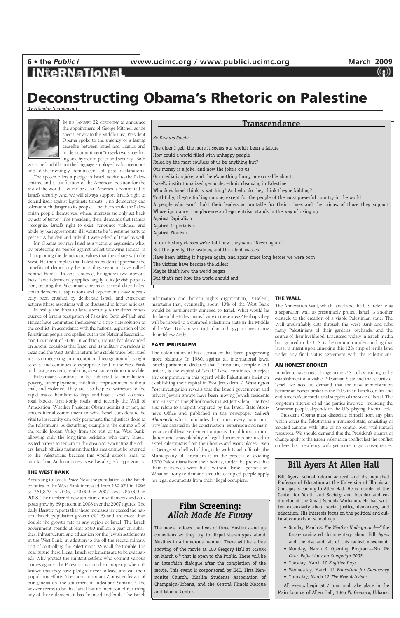## **iNteRNaTioNal**

## **Deconstructing Obama's Rhetoric on Palestine**

*By Niloofar Shambayati*



IN HIS JANUARY 22 CEREMONY to announce the appointment of George Mitchell as the special envoy to the Middle East, President Obama spoke to the urgency of a lasting ceasefire between Israel and Hamas and made a commitment "to seek two states living side by side in peace and security." Both

goals are laudable but the language employed is disingenuous and dishearteningly reminiscent of past declarations.

The speech offers a pledge to Israel, advice to the Palestinians, and a justification of the American position for the rest of the world: "Let me be clear: America is committed to Israel's security. And we will always support Israel's right to defend itself against legitimate threats… no democracy can tolerate such danger to its people… neither should the Palestinian people themselves, whose interests are only set back by acts of terror." The President, then, demands that Hamas "recognize Israel's right to exist, renounce violence, and abide by past agreements, if it wants to be "a genuine party to peace." A fair demand only if it were asked of Israel as well.

Mr. Obama portrays Israel as a victim of aggression who, by protecting its people against rocket throwing Hamas, is championing the democratic values that they share with the West. He then implies that Palestinians don't appreciate the benefits of democracy because they seem to have rallied behind Hamas. In one sentence, he ignores two obvious facts: Israeli democracy applies largely to its Jewish population, treating the Palestinian citizens as second class; Palestinian democratic aspirations and experiments have repeatedly been crushed by deliberate Israeli and American actions (these assertions will be discussed in future articles).

In reality, the threat to Israel's security is the direct consequence of Israel's occupation of Palestine. Both al-Fatah and Hamas have committed themselves to a two-state solution to the conflict, in accordance with the national aspiration of the Palestinian people and spelled out in the National Reconciliation Document of 2006. In addition, Hamas has demanded on several occasions that Israel end its military operations in Gaza and the West Bank in return for a stable truce, but Israel insists on receiving an unconditional recognition of its right to exist and continues to expropriate land in the West Bank and East Jerusalem, rendering a two-state solution unviable.

Palestinians continue to be subjected to humiliation, poverty, unemployment, indefinite imprisonment without trial, and violence. They are also helpless witnesses to the rapid loss of their land to illegal and hostile Israeli colonies, road blocks, Israeli-only roads, and recently the Wall of Annexation. Whether President Obama admits it or not, an unconditional commitment to what Israel considers to be vital to its security can only perpetuate the injustices done to the Palestinians. A disturbing example is the cutting off of the fertile Jordan Valley from the rest of the West Bank, allowing only the long-time residents who carry Israeliissued papers to remain in the area and evacuating the others. Israeli officials maintain that this area cannot be returned to the Palestinians because this would expose Israel to attacks from Arab countries as well as al-Qaeda-type groups.

#### **THE WEST BANK**

According to Israeli Peace Now, the population of the Israeli colonies in the West Bank increased from 139,974 in 1996 to 261,879 in 2006, 270,000 in 2007, and 285,000 in 2008. The number of new structures in settlements and outposts grew by 69 percent in 2008 over the 2007 figures. The daily *Haaretz* reports that these increases far exceed the natural Israeli population growth (%1.6) and are more than double the growth rate in any region of Israel. The Israeli government spends at least \$560 million a year on subsidies, infrastructure and education for the Jewish settlements in the West Bank, in addition to the off-the-record military cost of controlling the Palestinians. Why all the trouble if in near future these Illegal Israeli settlements are to be evacuated? Why protect the militant settlers who commit various crimes against the Palestinians and their property, when it's known that they have pledged never to leave and call their populating efforts "the most important Zionist endeavor of our generation, the settlement of Judea and Samaria"? The answer seems to be that Israel has no intention of returning any of the settlements it has financed and built. The Israeli information and human rights organization, B'Tselem, maintains that, eventually, about 40% of the West Bank would be permanently annexed to Israel. What would be the fate of the Palestinians living in these areas? Perhaps they will be moved to a cramped Palestinian state in the Middle of the West Bank or sent to Jordan and Egypt to live among their 'fellow Arabs.'

#### **EAST JERUSALEM**

The colonization of East Jerusalem has been progressing more blatantly. In 1980, against all international laws, Israel's parliament declared that "Jerusalem, complete and united, is the capital of Israel." Israel continues to reject any compromise in this regard while Palestinians insist on establishing their capital in East Jerusalem. A *Washington Post* investigation reveals that the Israeli government and private Jewish groups have been moving Jewish residents into Palestinian neighborhoods in East Jerusalem. The Post also refers to a report prepared by the Israeli State Attorney's Office and published in the newspaper *Yedioth Aharonoth,* which concludes that almost every major ministry has assisted in the construction, expansion and maintenance of illegal settlement outposts. In addition, intimidation and unavailability of legal documents are used to expel Palestinians from their homes and work places. Even as George Mitchell is holding talks with Israeli officials, the Municipality of Jerusalem is in the process of evicting 1500 Palestinians from their homes, under the pretext that their residences were built without Israeli permission. What an irony to demand that the occupied people apply for legal documents from their illegal occupiers.

#### **THE WALL**

The Annexation Wall, which Israel and the U.S. refer to as a separation wall to presumably protect Israel, is another obstacle to the creation of a viable Palestinian state. The Wall unjustifiably cuts through the West Bank and robs many Palestinians of their gardens, orchards, and the source of their livelihood. Discussed widely in Israeli media but ignored in the U.S. is the common understanding that Israel is intent upon annexing this 12% strip of fertile land under any final status agreement with the Palestinians.

#### **AN HONEST BROKER**

In order to have a real change in the U.S. policy, leading to the establishment of a viable Palestinian State and the security of Israel, we need to demand that the new administration become an honest broker in the Palestinian-Israeli conflict and end America's unconditional support of the state of Israel. The long-term interest of all the parties involved, including the American people, depends on the U.S. playing thisvital role.

President Obama must dissociate himself from any plan which offers the Palestinians a truncated state, consisting of isolated cantons with little or no control over vital natural resources. We should demand that the President's mantra of change apply to the Israeli-Palestinian conflict lest the conflict outlives his presidency with yet more tragic consequences.

*By Kumars Salehi* The older I get, the more it seems our world's been a failure How could a world filled with unhappy people Ruled by the most soulless of us be anything but? Our money is a joke, and now the joke's on us Our media is a joke, and there's nothing funny or excusable about Israel's institutionalized genocide, ethnic cleansing in Palestine Who does Israel think is watching? And who do they think they're kidding? Truthfully, they're fooling no one, except for the people of the most powerful country in the world A people who won't hold their leaders accountable for their crimes and the crimes of those they support Whose ignorance, complacence and egocentrism stands in the way of rising up Against Capitalism Against Imperialism Against Zionism In our history classes we're told how they said, "Never again." But the greedy, the zealous, and the silent masses Have been letting it happen again, and again since long before we were born The victims have become the killers Maybe that's how the world began But that's not how the world should end

### **Transcendence**

### **Film Screening:** *Allah Made Me Funny*

The movie follows the lives of three Muslim stand up comedians as they try to dispel stereotypes about Muslims in a humorous manner. There will be a free showing of the movie at 100 Gregory Hall at 6:30PM on March 6<sup>th</sup> that is open to the Public. There will be an interfaith dialogue after the completion of the movie. This event is cosponsored by IMC, First Mennonite Church, Muslim Students Association of Champaign-Urbana, and the Central Illinois Mosque and Islamic Center.

## **Bill Ayers At Allen Hall**

Bill Ayers, school reform activist and distinguished Professor of Education at the University of Illinois at Chicago, is coming to Allen Hall. He is founder of the Center for Youth and Society and founder and codirector of the Small Schools Workshop. He has written extensively about social justice, democracy, and education. His interests focus on the political and cultural contexts of schoolings.

- Sunday, March 8. *The Weather Underground*—Tthe Oscar-nominated documentary about Bill Ayers and the rise and fall of this radical movement.
- Monday, March 9 Opening Program—*Yes We Can: Reflections on Campaign 2008*
- Tuesday, March 10 *Fugitive Days*
- Wednesday, March 11 *Education for Democracy*
- Thursday, March 12 *The New Activism*

All events begin at 7 p.m. and take place in the Main Lounge of Allen Hall, 1005 W. Gregory, Urbana.